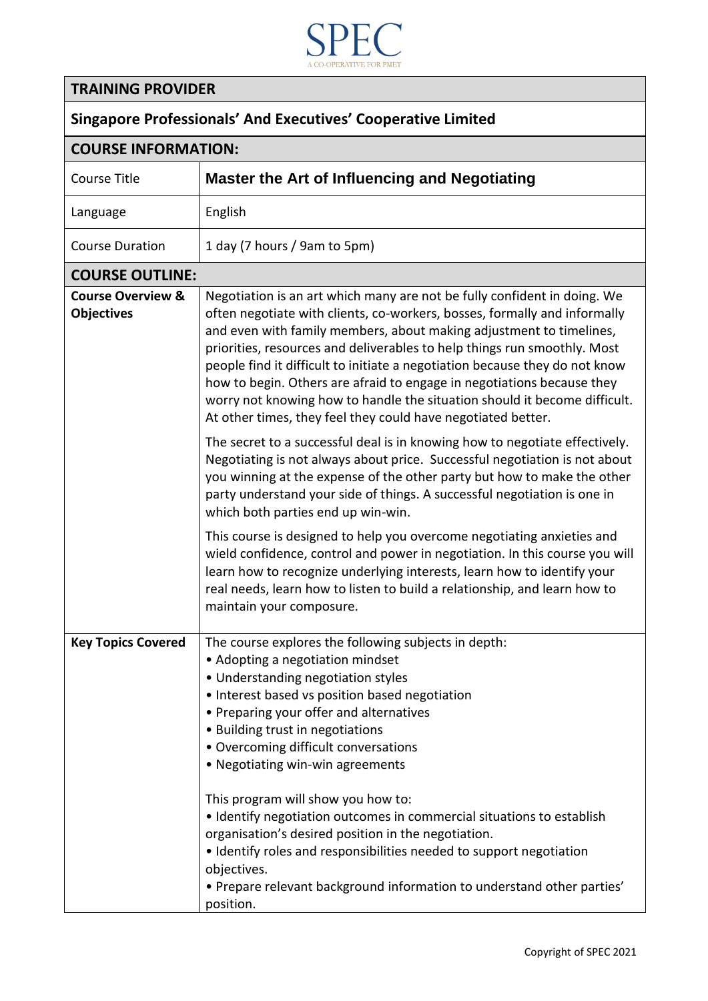

## **TRAINING PROVIDER**

## **Singapore Professionals' And Executives' Cooperative Limited**

| <b>COURSE INFORMATION:</b>                        |                                                                                                                                                                                                                                                                                                                                                                                                                                                                                                                                                                                                                                                                                                |
|---------------------------------------------------|------------------------------------------------------------------------------------------------------------------------------------------------------------------------------------------------------------------------------------------------------------------------------------------------------------------------------------------------------------------------------------------------------------------------------------------------------------------------------------------------------------------------------------------------------------------------------------------------------------------------------------------------------------------------------------------------|
| <b>Course Title</b>                               | Master the Art of Influencing and Negotiating                                                                                                                                                                                                                                                                                                                                                                                                                                                                                                                                                                                                                                                  |
| Language                                          | English                                                                                                                                                                                                                                                                                                                                                                                                                                                                                                                                                                                                                                                                                        |
| <b>Course Duration</b>                            | 1 day (7 hours / 9am to 5pm)                                                                                                                                                                                                                                                                                                                                                                                                                                                                                                                                                                                                                                                                   |
| <b>COURSE OUTLINE:</b>                            |                                                                                                                                                                                                                                                                                                                                                                                                                                                                                                                                                                                                                                                                                                |
| <b>Course Overview &amp;</b><br><b>Objectives</b> | Negotiation is an art which many are not be fully confident in doing. We<br>often negotiate with clients, co-workers, bosses, formally and informally<br>and even with family members, about making adjustment to timelines,<br>priorities, resources and deliverables to help things run smoothly. Most<br>people find it difficult to initiate a negotiation because they do not know<br>how to begin. Others are afraid to engage in negotiations because they<br>worry not knowing how to handle the situation should it become difficult.<br>At other times, they feel they could have negotiated better.                                                                                 |
|                                                   | The secret to a successful deal is in knowing how to negotiate effectively.<br>Negotiating is not always about price. Successful negotiation is not about<br>you winning at the expense of the other party but how to make the other<br>party understand your side of things. A successful negotiation is one in<br>which both parties end up win-win.                                                                                                                                                                                                                                                                                                                                         |
|                                                   | This course is designed to help you overcome negotiating anxieties and<br>wield confidence, control and power in negotiation. In this course you will<br>learn how to recognize underlying interests, learn how to identify your<br>real needs, learn how to listen to build a relationship, and learn how to<br>maintain your composure.                                                                                                                                                                                                                                                                                                                                                      |
| <b>Key Topics Covered</b>                         | The course explores the following subjects in depth:<br>• Adopting a negotiation mindset<br>• Understanding negotiation styles<br>• Interest based vs position based negotiation<br>• Preparing your offer and alternatives<br>• Building trust in negotiations<br>• Overcoming difficult conversations<br>• Negotiating win-win agreements<br>This program will show you how to:<br>• Identify negotiation outcomes in commercial situations to establish<br>organisation's desired position in the negotiation.<br>• Identify roles and responsibilities needed to support negotiation<br>objectives.<br>• Prepare relevant background information to understand other parties'<br>position. |